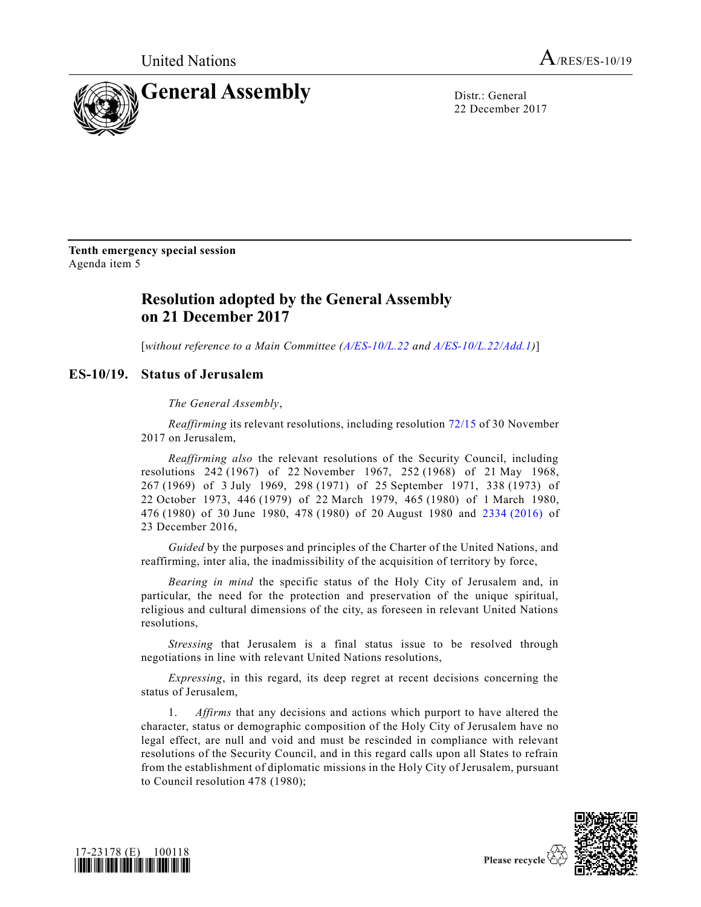

22 December 2017

**Tenth emergency special session** Agenda item 5

## **Resolution adopted by the General Assembly on 21 December 2017**

[*without reference to a Main Committee [\(A/ES-10/L.22](https://undocs.org/A/ES%1e10/L.22) and [A/ES-10/L.22/Add.1\)](https://undocs.org/A/ES%1e10/L.22/Add.1)*]

## **ES-10/19. Status of Jerusalem**

*The General Assembly*,

*Reaffirming* its relevant resolutions, including resolution [72/15](https://undocs.org/A/RES/72/15) of 30 November 2017 on Jerusalem,

*Reaffirming also* the relevant resolutions of the Security Council, including resolutions 242 (1967) of 22 November 1967, 252 (1968) of 21 May 1968, (1969) of 3 July 1969, 298 (1971) of 25 September 1971, 338 (1973) of October 1973, 446 (1979) of 22 March 1979, 465 (1980) of 1 March 1980, (1980) of 30 June 1980, 478 (1980) of 20 August 1980 and 2334 [\(2016\)](https://undocs.org/S/RES/2334(2016)) of December 2016,

*Guided* by the purposes and principles of the Charter of the United Nations, and reaffirming, inter alia, the inadmissibility of the acquisition of territory by force,

*Bearing in mind* the specific status of the Holy City of Jerusalem and, in particular, the need for the protection and preservation of the unique spiritual, religious and cultural dimensions of the city, as foreseen in relevant United Nations resolutions,

*Stressing* that Jerusalem is a final status issue to be resolved through negotiations in line with relevant United Nations resolutions,

*Expressing*, in this regard, its deep regret at recent decisions concerning the status of Jerusalem,

1. *Affirms* that any decisions and actions which purport to have altered the character, status or demographic composition of the Holy City of Jerusalem have no legal effect, are null and void and must be rescinded in compliance with relevant resolutions of the Security Council, and in this regard calls upon all States to refrain from the establishment of diplomatic missions in the Holy City of Jerusalem, pursuant to Council resolution 478 (1980);